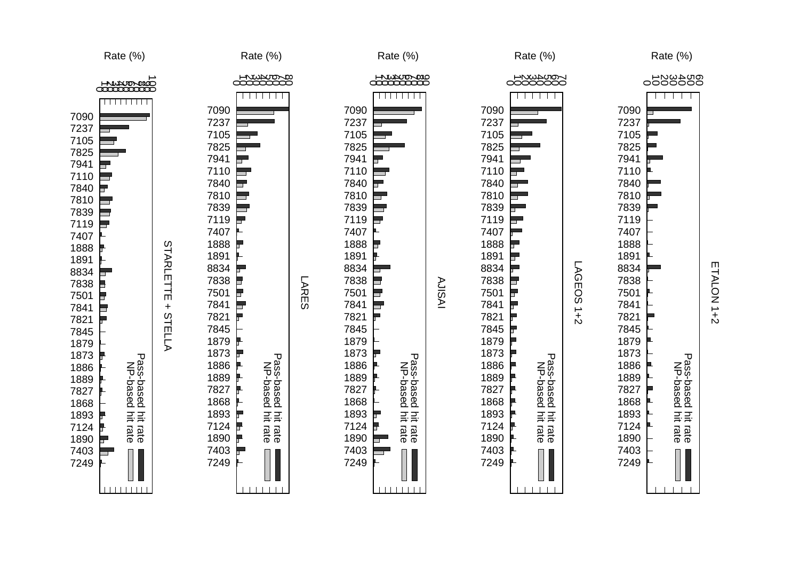

 $\mathsf{m}$ ETALON 1+2 TALON<sub>1+2</sub>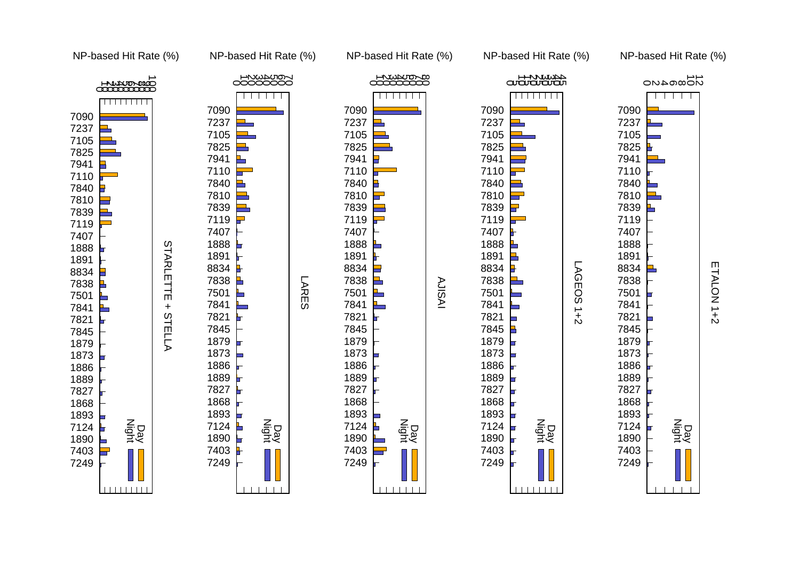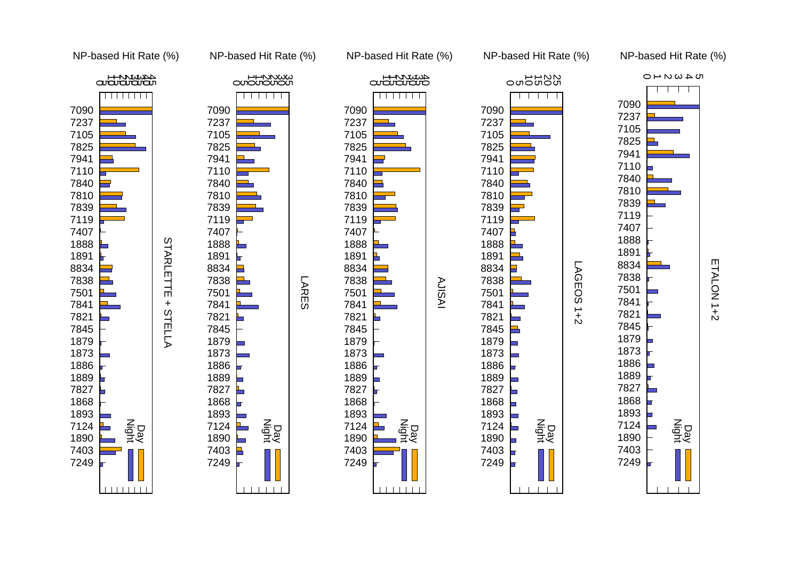

 $\pm$ 

**STELLA** 

**STARLETTE** 







NP-based Hit Rate (%)

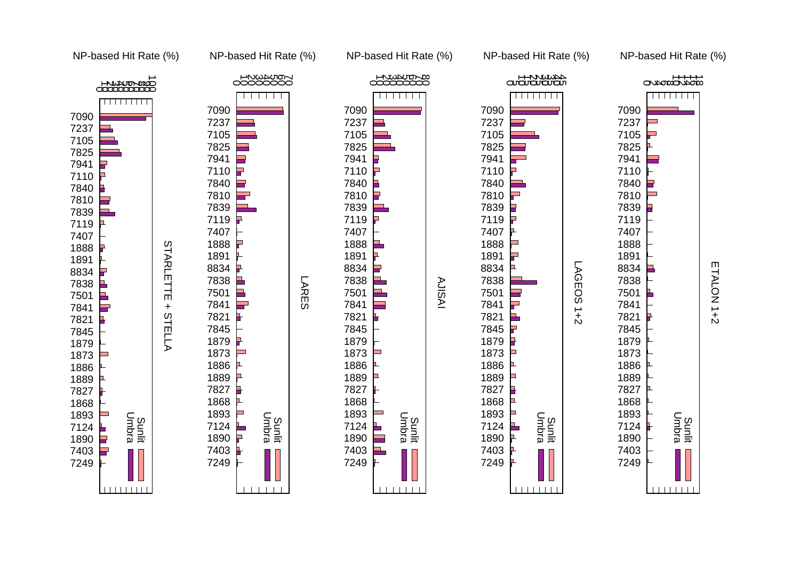



Sunlit Umbra





Sunlit Umbra

NP-based Hit Rate (%)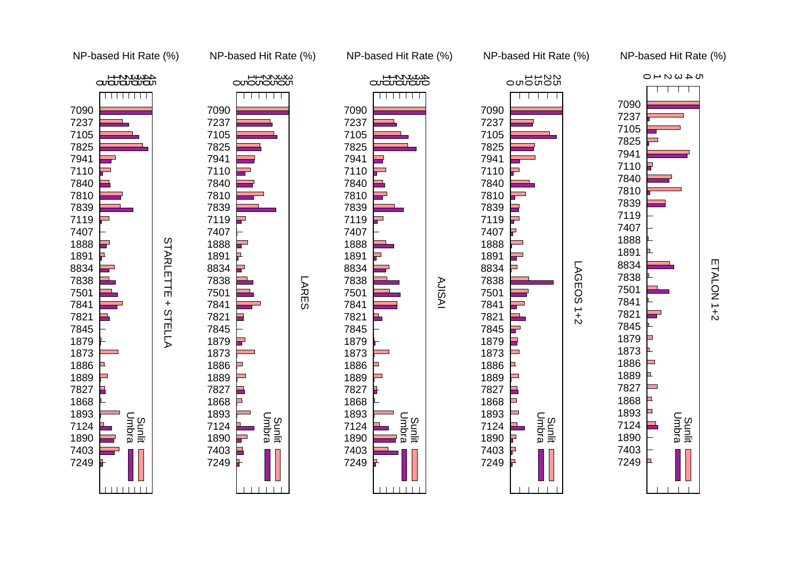

 $\pm$ 

**STELLA** 

**STARLETTE** 







NP-based Hit Rate (%)

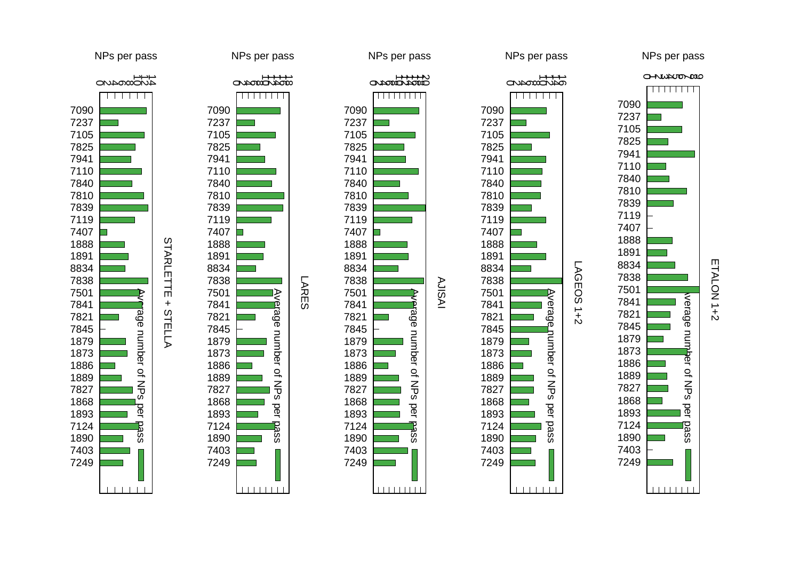

 $\ddot{}$ 

STELLA

**STARLETTE** 











per

**Dass** 

O ALUPUDADO NPs per pass

 $\Box$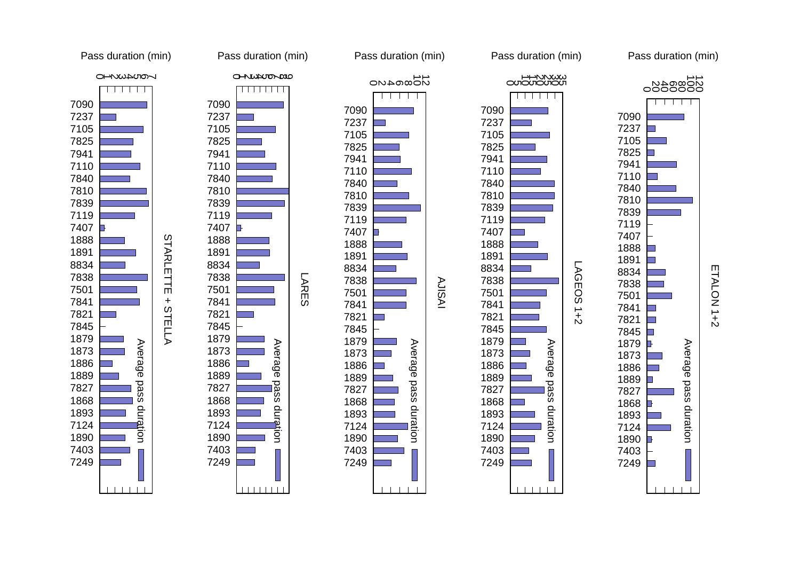

 $\pm$ 

**STELLA** 

**STARLETTE** 







Pass duration (min)